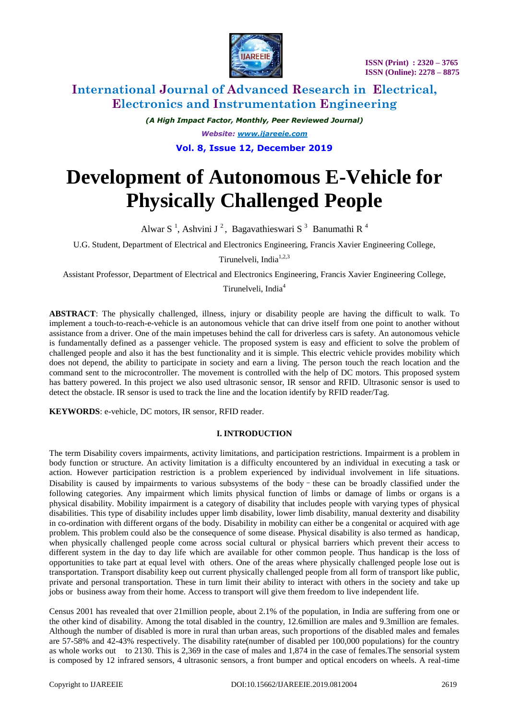

# **International Journal of Advanced Research in Electrical, Electronics and Instrumentation Engineering**

*(A High Impact Factor, Monthly, Peer Reviewed Journal) Website: [www.ijareeie.com](http://www.ijareeie.com/)* **Vol. 8, Issue 12, December 2019**

# **Development of Autonomous E-Vehicle for Physically Challenged People**

Alwar S<sup>1</sup>, Ashvini J<sup>2</sup>, Bagavathieswari S<sup>3</sup> Banumathi R<sup>4</sup>

U.G. Student, Department of Electrical and Electronics Engineering, Francis Xavier Engineering College,

Tirunelveli, India<sup>1,2,3</sup>

Assistant Professor, Department of Electrical and Electronics Engineering, Francis Xavier Engineering College,

Tirunelveli, India<sup>4</sup>

**ABSTRACT**: The physically challenged, illness, injury or disability people are having the difficult to walk. To implement a touch-to-reach-e-vehicle is an autonomous vehicle that can drive itself from one point to another without assistance from a driver. One of the main impetuses behind the call for driverless cars is safety. An autonomous vehicle is fundamentally defined as a passenger vehicle. The proposed system is easy and efficient to solve the problem of challenged people and also it has the best functionality and it is simple. This electric vehicle provides mobility which does not depend, the ability to participate in society and earn a living. The person touch the reach location and the command sent to the microcontroller. The movement is controlled with the help of DC motors. This proposed system has battery powered. In this project we also used ultrasonic sensor, IR sensor and RFID. Ultrasonic sensor is used to detect the obstacle. IR sensor is used to track the line and the location identify by RFID reader/Tag.

**KEYWORDS**: e-vehicle, DC motors, IR sensor, RFID reader.

### **I. INTRODUCTION**

The term Disability covers impairments, activity limitations, and participation restrictions. Impairment is a problem in body function or structure. An activity limitation is a difficulty encountered by an individual in executing a task or action. However participation restriction is a problem experienced by individual involvement in life situations. Disability is caused by impairments to various subsystems of the body–these can be broadly classified under the following categories. Any impairment which limits physical function of limbs or damage of limbs or organs is a physical disability. Mobility impairment is a category of disability that includes people with varying types of physical disabilities. This type of disability includes upper limb disability, lower limb disability, manual dexterity and disability in co-ordination with different organs of the body. Disability in mobility can either be a congenital or acquired with age problem. This problem could also be the consequence of some disease. Physical disability is also termed as handicap, when physically challenged people come across social cultural or physical barriers which prevent their access to different system in the day to day life which are available for other common people. Thus handicap is the loss of opportunities to take part at equal level with others. One of the areas where physically challenged people lose out is transportation. Transport disability keep out current physically challenged people from all form of transport like public, private and personal transportation. These in turn limit their ability to interact with others in the society and take up jobs or business away from their home. Access to transport will give them freedom to live independent life.

Census 2001 has revealed that over 21million people, about 2.1% of the population, in India are suffering from one or the other kind of disability. Among the total disabled in the country, 12.6million are males and 9.3million are females. Although the number of disabled is more in rural than urban areas, such proportions of the disabled males and females are 57-58% and 42-43% respectively. The disability rate(number of disabled per 100,000 populations) for the country as whole works out to 2130. This is 2,369 in the case of males and 1,874 in the case of females.The sensorial system is composed by 12 infrared sensors, 4 ultrasonic sensors, a front bumper and optical encoders on wheels. A real-time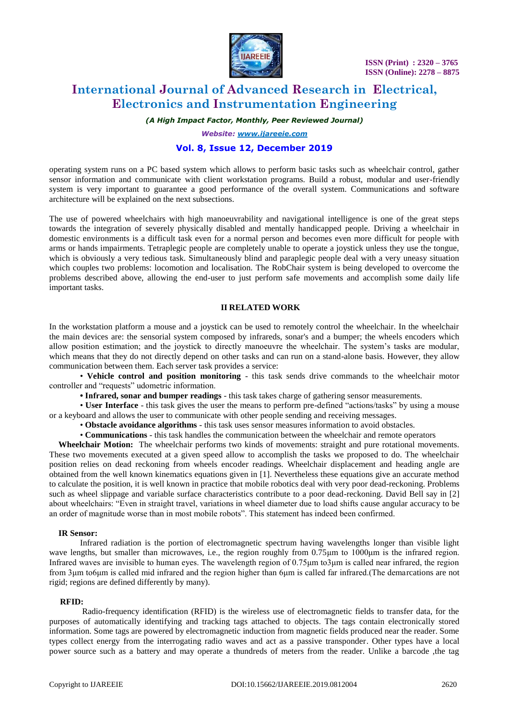

# **International Journal of Advanced Research in Electrical, Electronics and Instrumentation Engineering**

*(A High Impact Factor, Monthly, Peer Reviewed Journal)*

*Website: [www.ijareeie.com](http://www.ijareeie.com/)*

### **Vol. 8, Issue 12, December 2019**

operating system runs on a PC based system which allows to perform basic tasks such as wheelchair control, gather sensor information and communicate with client workstation programs. Build a robust, modular and user-friendly system is very important to guarantee a good performance of the overall system. Communications and software architecture will be explained on the next subsections.

The use of powered wheelchairs with high manoeuvrability and navigational intelligence is one of the great steps towards the integration of severely physically disabled and mentally handicapped people. Driving a wheelchair in domestic environments is a difficult task even for a normal person and becomes even more difficult for people with arms or hands impairments. Tetraplegic people are completely unable to operate a joystick unless they use the tongue, which is obviously a very tedious task. Simultaneously blind and paraplegic people deal with a very uneasy situation which couples two problems: locomotion and localisation. The RobChair system is being developed to overcome the problems described above, allowing the end-user to just perform safe movements and accomplish some daily life important tasks.

### **II RELATED WORK**

In the workstation platform a mouse and a joystick can be used to remotely control the wheelchair. In the wheelchair the main devices are: the sensorial system composed by infrareds, sonar's and a bumper; the wheels encoders which allow position estimation; and the joystick to directly manoeuvre the wheelchair. The system's tasks are modular, which means that they do not directly depend on other tasks and can run on a stand-alone basis. However, they allow communication between them. Each server task provides a service:

• **Vehicle control and position monitoring** - this task sends drive commands to the wheelchair motor controller and "requests" udometric information.

**• Infrared, sonar and bumper readings** - this task takes charge of gathering sensor measurements.

• **User Interface** - this task gives the user the means to perform pre-defined "actions/tasks" by using a mouse or a keyboard and allows the user to communicate with other people sending and receiving messages.

• **Obstacle avoidance algorithms** - this task uses sensor measures information to avoid obstacles.

• **Communications** - this task handles the communication between the wheelchair and remote operators

**Wheelchair Motion:** The wheelchair performs two kinds of movements: straight and pure rotational movements. These two movements executed at a given speed allow to accomplish the tasks we proposed to do. The wheelchair position relies on dead reckoning from wheels encoder readings. Wheelchair displacement and heading angle are obtained from the well known kinematics equations given in [1]. Nevertheless these equations give an accurate method to calculate the position, it is well known in practice that mobile robotics deal with very poor dead-reckoning. Problems such as wheel slippage and variable surface characteristics contribute to a poor dead-reckoning. David Bell say in [2] about wheelchairs: "Even in straight travel, variations in wheel diameter due to load shifts cause angular accuracy to be an order of magnitude worse than in most mobile robots". This statement has indeed been confirmed.

#### **IR Sensor:**

Infrared radiation is the portion of electromagnetic spectrum having wavelengths longer than visible light wave lengths, but smaller than microwaves, i.e., the region roughly from 0.75μm to 1000μm is the infrared region. Infrared waves are invisible to human eyes. The wavelength region of 0.75μm to3μm is called near infrared, the region from 3μm to6μm is called mid infrared and the region higher than 6μm is called far infrared.(The demarcations are not rigid; regions are defined differently by many).

#### **RFID:**

 Radio-frequency identification (RFID) is the wireless use of electromagnetic fields to transfer data, for the purposes of automatically identifying and tracking tags attached to objects. The tags contain electronically stored information. Some tags are powered by electromagnetic induction from magnetic fields produced near the reader. Some types collect energy from the interrogating radio waves and act as a passive transponder. Other types have a local power source such as a battery and may operate a thundreds of meters from the reader. Unlike a barcode ,the tag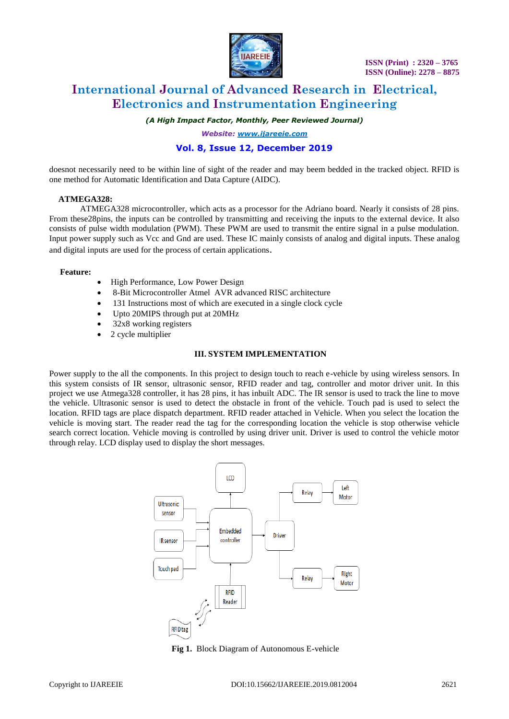

# **International Journal of Advanced Research in Electrical, Electronics and Instrumentation Engineering**

*(A High Impact Factor, Monthly, Peer Reviewed Journal)*

*Website: [www.ijareeie.com](http://www.ijareeie.com/)*

## **Vol. 8, Issue 12, December 2019**

doesnot necessarily need to be within line of sight of the reader and may beem bedded in the tracked object. RFID is one method for Automatic Identification and Data Capture (AIDC).

#### **ATMEGA328:**

ATMEGA328 microcontroller, which acts as a processor for the Adriano board. Nearly it consists of 28 pins. From these28pins, the inputs can be controlled by transmitting and receiving the inputs to the external device. It also consists of pulse width modulation (PWM). These PWM are used to transmit the entire signal in a pulse modulation. Input power supply such as Vcc and Gnd are used. These IC mainly consists of analog and digital inputs. These analog and digital inputs are used for the process of certain applications.

#### **Feature:**

- High Performance, Low Power Design
- 8-Bit Microcontroller Atmel AVR advanced RISC architecture
- 131 Instructions most of which are executed in a single clock cycle
- Upto 20MIPS through put at 20MHz
- 32x8 working registers
- 2 cycle multiplier

#### **III. SYSTEM IMPLEMENTATION**

Power supply to the all the components. In this project to design touch to reach e-vehicle by using wireless sensors. In this system consists of IR sensor, ultrasonic sensor, RFID reader and tag, controller and motor driver unit. In this project we use Atmega328 controller, it has 28 pins, it has inbuilt ADC. The IR sensor is used to track the line to move the vehicle. Ultrasonic sensor is used to detect the obstacle in front of the vehicle. Touch pad is used to select the location. RFID tags are place dispatch department. RFID reader attached in Vehicle. When you select the location the vehicle is moving start. The reader read the tag for the corresponding location the vehicle is stop otherwise vehicle search correct location. Vehicle moving is controlled by using driver unit. Driver is used to control the vehicle motor through relay. LCD display used to display the short messages.



**Fig 1.** Block Diagram of Autonomous E-vehicle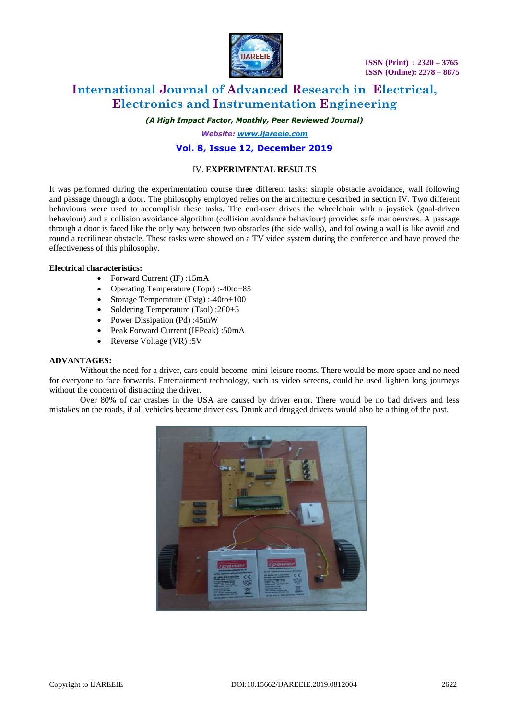

# **International Journal of Advanced Research in Electrical, Electronics and Instrumentation Engineering**

*(A High Impact Factor, Monthly, Peer Reviewed Journal)*

*Website: [www.ijareeie.com](http://www.ijareeie.com/)*

### **Vol. 8, Issue 12, December 2019**

### IV. **EXPERIMENTAL RESULTS**

It was performed during the experimentation course three different tasks: simple obstacle avoidance, wall following and passage through a door. The philosophy employed relies on the architecture described in section IV. Two different behaviours were used to accomplish these tasks. The end-user drives the wheelchair with a joystick (goal-driven behaviour) and a collision avoidance algorithm (collision avoidance behaviour) provides safe manoeuvres. A passage through a door is faced like the only way between two obstacles (the side walls), and following a wall is like avoid and round a rectilinear obstacle. These tasks were showed on a TV video system during the conference and have proved the effectiveness of this philosophy.

#### **Electrical characteristics:**

- Forward Current (IF) :15mA
- Operating Temperature (Topr) :-40to+85
- Storage Temperature (Tstg) :-40to+100
- Soldering Temperature (Tsol) :260±5
- Power Dissipation (Pd) :45mW
- Peak Forward Current (IFPeak) :50mA
- Reverse Voltage (VR) :5V

#### **ADVANTAGES:**

Without the need for a driver, cars could become mini-leisure rooms. There would be more space and no need for everyone to face forwards. Entertainment technology, such as video screens, could be used lighten long journeys without the concern of distracting the driver.

Over 80% of car crashes in the USA are caused by driver error. There would be no bad drivers and less mistakes on the roads, if all vehicles became driverless. Drunk and drugged drivers would also be a thing of the past.